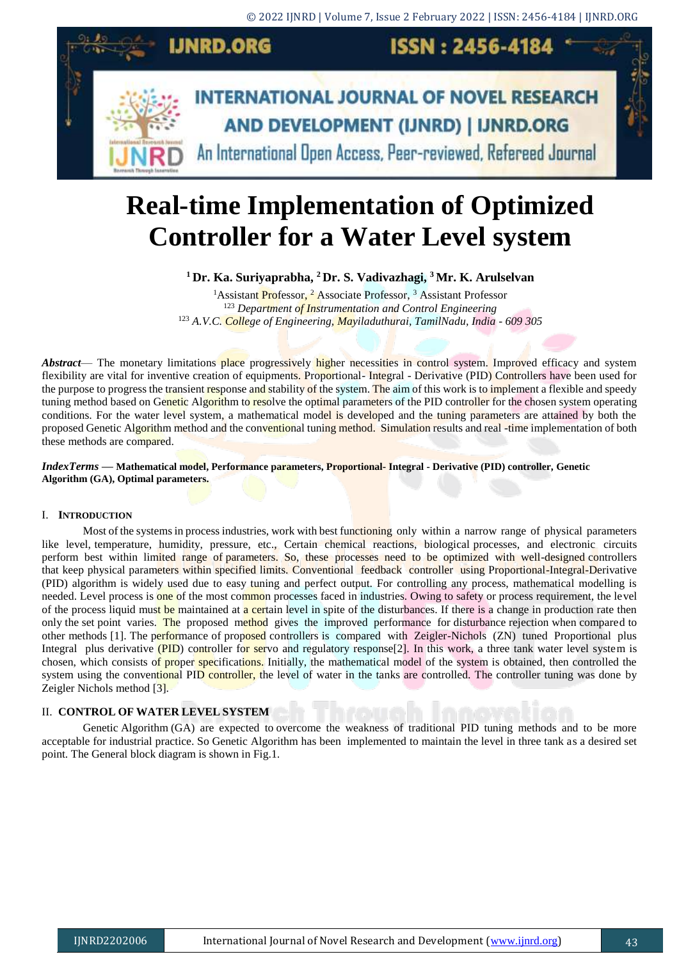

# **Real-time Implementation of Optimized Controller for a Water Level system**

**<sup>1</sup> Dr. Ka. Suriyaprabha, <sup>2</sup> Dr. S. Vadivazhagi, <sup>3</sup> Mr. K. Arulselvan**

<sup>1</sup>Assistant Professor, <sup>2</sup> Associate Professor, <sup>3</sup> Assistant Professor <sup>123</sup> *Department of Instrumentation and Control Engineering* <sup>123</sup> *A.V.C. College of Engineering, Mayiladuthurai, TamilNadu, India - 609 305*

*Abstract*— The monetary limitations place progressively higher necessities in control system. Improved efficacy and system flexibility are vital for inventive creation of equipments. Proportional- Integral - Derivative (PID) Controllers have been used for the purpose to progress the transient response and stability of the system. The aim of this work is to implement a flexible and speedy tuning method based on Genetic Algorithm to resolve the optimal parameters of the PID controller for the chosen system operating conditions. For the water level system, a mathematical model is developed and the tuning parameters are attained by both the proposed Genetic Algorithm method and the conventional tuning method. Simulation results and real -time implementation of both these methods are compared.

### *IndexTerms* **— Mathematical model, Performance parameters, Proportional- Integral - Derivative (PID) controller, Genetic Algorithm (GA), Optimal parameters.**

# I. **INTRODUCTION**

Most of the systems in process industries, work with best functioning only within a narrow range of physical parameters like level, temperature, humidity, pressure, etc., Certain chemical reactions, biological processes, and electronic circuits perform best within limited range of parameters. So, these processes need to be optimized with well-designed controllers that keep physical parameters within specified limits. Conventional feedback controller using Proportional-Integral-Derivative (PID) algorithm is widely used due to easy tuning and perfect output. For controlling any process, mathematical modelling is needed. Level process is one of the most common processes faced in industries. Owing to safety or process requirement, the level of the process liquid must be maintained at a certain level in spite of the disturbances. If there is a change in production rate then only the set point varies. The proposed method gives the improved performance for disturbance rejection when compared to other methods [1]. The performance of proposed controllers is compared with Zeigler-Nichols (ZN) tuned Proportional plus Integral plus derivative (PID) controller for servo and regulatory response[2]. In this work, a three tank water level system is chosen, which consists of proper specifications. Initially, the mathematical model of the system is obtained, then controlled the system using the conventional PID controller, the level of water in the tanks are controlled. The controller tuning was done by Zeigler Nichols method [3].

# II. **CONTROL OF WATER LEVEL SYSTEM**

Genetic Algorithm (GA) are expected to overcome the weakness of traditional PID tuning methods and to be more acceptable for industrial practice. So Genetic Algorithm has been implemented to maintain the level in three tank as a desired set point. The General block diagram is shown in Fig.1.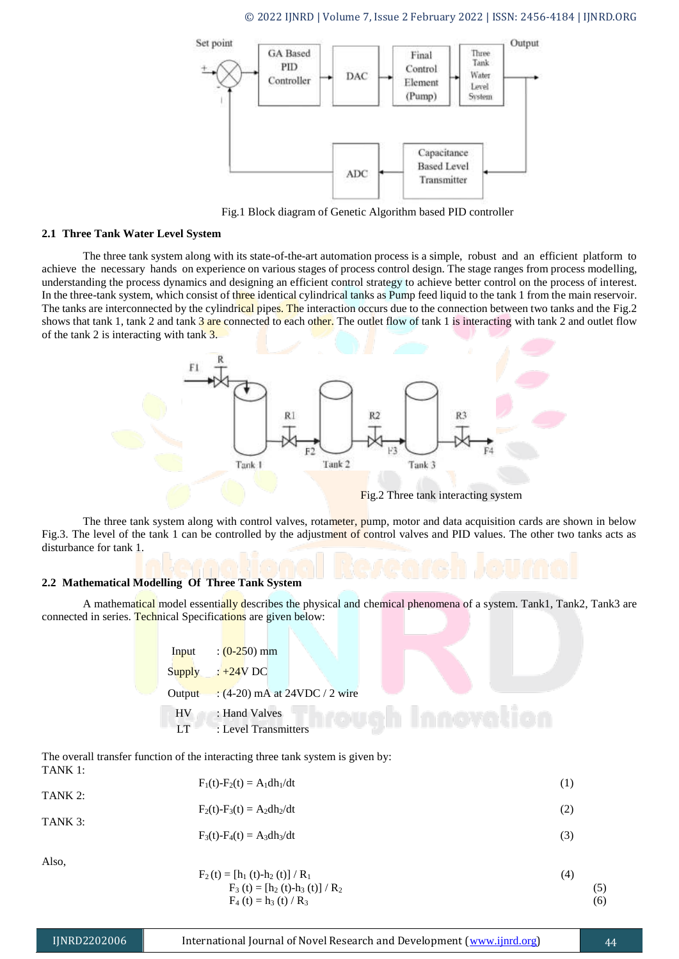

Fig.1 Block diagram of Genetic Algorithm based PID controller

#### **2.1 Three Tank Water Level System**

The three tank system along with its state-of-the-art automation process is a simple, robust and an efficient platform to achieve the necessary hands on experience on various stages of process control design. The stage ranges from process modelling, understanding the process dynamics and designing an efficient control strategy to achieve better control on the process of interest. In the three-tank system, which consist of three identical cylindrical tanks as Pump feed liquid to the tank 1 from the main reservoir. The tanks are interconnected by the cylindrical pipes. The interaction occurs due to the connection between two tanks and the Fig.2 shows that tank 1, tank 2 and tank  $3$  are connected to each other. The outlet flow of tank 1 is interacting with tank 2 and outlet flow of the tank 2 is interacting with tank 3.



Fig.2 Three tank interacting system

The three tank system along with control valves, rotameter, pump, motor and data acquisition cards are shown in below Fig.3. The level of the tank 1 can be controlled by the adjustment of control valves and PID values. The other two tanks acts as disturbance for tank 1.

# **2.2 Mathematical Modelling Of Three Tank System**

A mathematical model essentially describes the physical and chemical phenomena of a system. Tank1, Tank2, Tank3 are connected in series. Technical Specifications are given below:

| Input     | $\frac{(0-250)}{m}$           |  |  |
|-----------|-------------------------------|--|--|
| Supply    | $: +24V$ DC                   |  |  |
| Output    | $(4-20)$ mA at 24VDC / 2 wire |  |  |
| <b>HV</b> | : Hand Valves                 |  |  |
| LT        | : Level Transmitters          |  |  |

The overall transfer function of the interacting three tank system is given by: TANK 1:

| TANK 2: | $F_1(t) - F_2(t) = A_1 dh_1/dt$                                                                         | (1) |
|---------|---------------------------------------------------------------------------------------------------------|-----|
|         | $F_2(t) - F_3(t) = A_2 dh_2/dt$                                                                         | (2) |
| TANK 3: | $F_3(t) - F_4(t) = A_3 dh_3/dt$                                                                         | (3) |
| Also,   | $F_2(t) = [h_1(t)-h_2(t)] / R_1$<br>$\mathbf{E}$ (a) $\mathbf{E}$ (a) $\mathbf{I}$ (a) $\mathbf{I}$ (b) | (4) |

$$
F_2(t) = [h_1(t) - h_2(t)] / R_1
$$
  
\n
$$
F_3(t) = [h_2(t) - h_3(t)] / R_2
$$
  
\n
$$
F_4(t) = h_3(t) / R_3
$$
\n(5)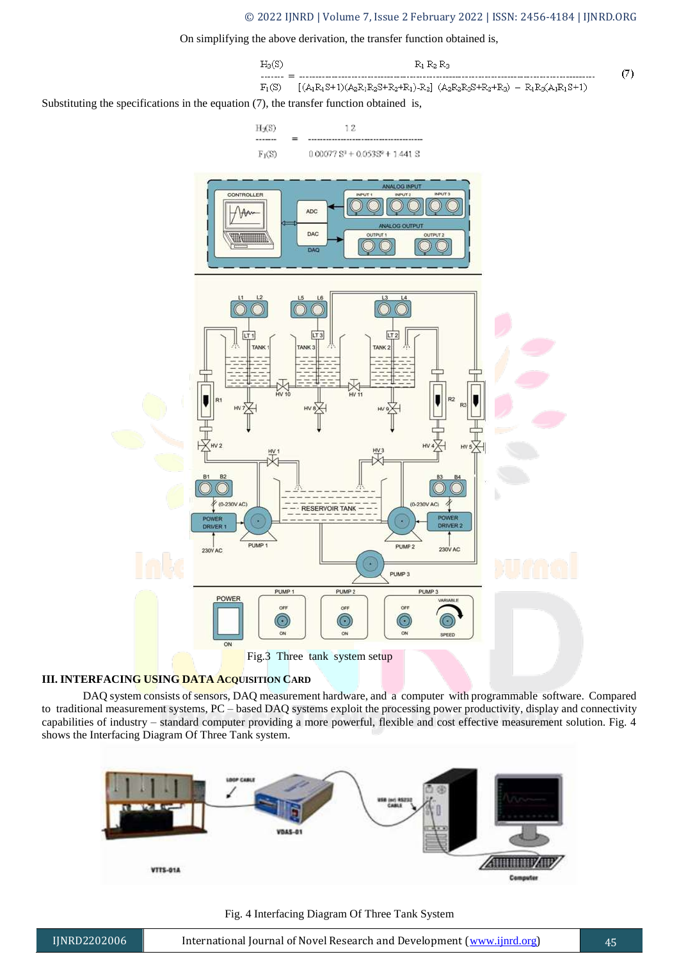## © 2022 IJNRD | Volume 7, Issue 2 February 2022 | ISSN: 2456-4184 | IJNRD.ORG

#### On simplifying the above derivation, the transfer function obtained is,



Fig.3 Three tank system setup

# **III. INTERFACING USING DATA ACQUISITION CARD**

DAQ system consists of sensors, DAQ measurement hardware, and a computer with programmable software. Compared to traditional measurement systems, PC – based DAQ systems exploit the processing power productivity, display and connectivity capabilities of industry – standard computer providing a more powerful, flexible and cost effective measurement solution. Fig. 4 shows the Interfacing Diagram Of Three Tank system.



Fig. 4 Interfacing Diagram Of Three Tank System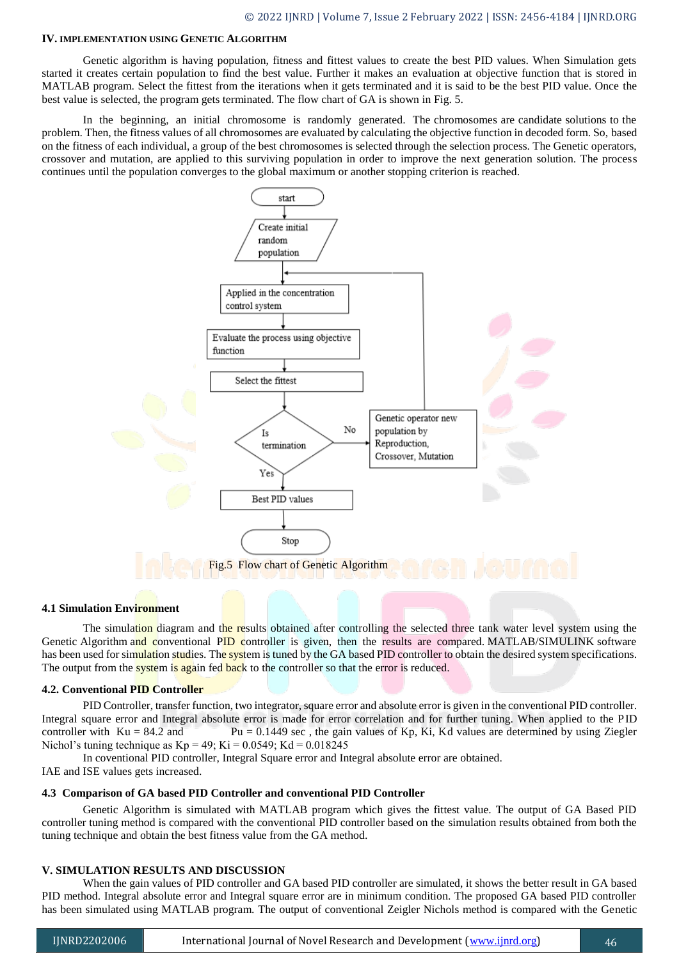#### **IV. IMPLEMENTATION USING GENETIC ALGORITHM**

Genetic algorithm is having population, fitness and fittest values to create the best PID values. When Simulation gets started it creates certain population to find the best value. Further it makes an evaluation at objective function that is stored in MATLAB program. Select the fittest from the iterations when it gets terminated and it is said to be the best PID value. Once the best value is selected, the program gets terminated. The flow chart of GA is shown in Fig. 5.

In the beginning, an initial chromosome is randomly generated. The chromosomes are candidate solutions to the problem. Then, the fitness values of all chromosomes are evaluated by calculating the objective function in decoded form. So, based on the fitness of each individual, a group of the best chromosomes is selected through the selection process. The Genetic operators, crossover and mutation, are applied to this surviving population in order to improve the next generation solution. The process continues until the population converges to the global maximum or another stopping criterion is reached.



#### **4.1 Simulation Environment**

The simulation diagram and the results obtained after controlling the selected three tank water level system using the Genetic Algorithm and conventional PID controller is given, then the results are compared. MATLAB/SIMULINK software has been used for simulation studies. The system is tuned by the GA based PID controller to obtain the desired system specifications. The output from the system is again fed back to the controller so that the error is reduced.

#### **4.2. Conventional PID Controller**

PID Controller, transfer function, two integrator, square error and absolute error is given in the conventional PID controller. Integral square error and Integral absolute error is made for error correlation and for further tuning. When applied to the PID controller with  $Ku = 84.2$  and  $Pu = 0.1449$  sec, the gain values of Kp, Ki, Kd values are determined by using Ziegler Nichol's tuning technique as  $Kp = 49$ ;  $Ki = 0.0549$ ;  $Kd = 0.018245$ 

In coventional PID controller, Integral Square error and Integral absolute error are obtained.

IAE and ISE values gets increased.

# **4.3 Comparison of GA based PID Controller and conventional PID Controller**

Genetic Algorithm is simulated with MATLAB program which gives the fittest value. The output of GA Based PID controller tuning method is compared with the conventional PID controller based on the simulation results obtained from both the tuning technique and obtain the best fitness value from the GA method.

#### **V. SIMULATION RESULTS AND DISCUSSION**

When the gain values of PID controller and GA based PID controller are simulated, it shows the better result in GA based PID method. Integral absolute error and Integral square error are in minimum condition. The proposed GA based PID controller has been simulated using MATLAB program. The output of conventional Zeigler Nichols method is compared with the Genetic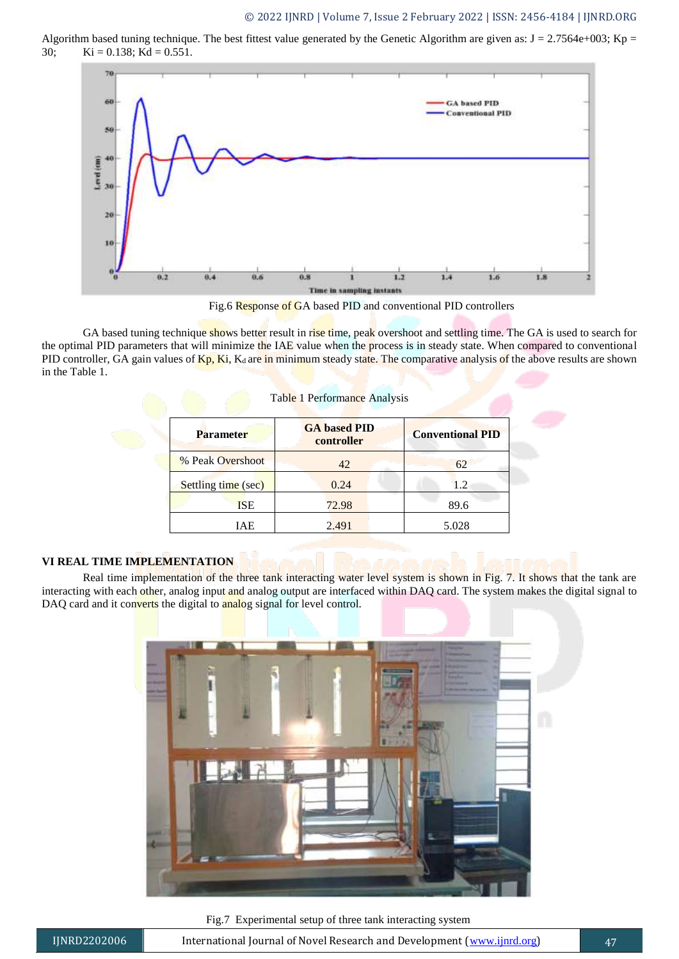Algorithm based tuning technique. The best fittest value generated by the Genetic Algorithm are given as:  $J = 2.7564e+003$ ; Kp = 30; Ki = 0.138; Kd = 0.551.



Fig.6 Response of GA based PID and conventional PID controllers

GA based tuning technique shows better result in rise time, peak overshoot and settling time. The GA is used to search for the optimal PID parameters that will minimize the IAE value when the process is in steady state. When compared to conventional PID controller, GA gain values of  $Kp$ , Ki, K<sub>d</sub> are in minimum steady state. The comparative analysis of the above results are shown in the Table 1.

| Table 1 Performance Analysis |                                   |                         |  |  |  |
|------------------------------|-----------------------------------|-------------------------|--|--|--|
| <b>Parameter</b>             | <b>GA</b> based PID<br>controller | <b>Conventional PID</b> |  |  |  |
| % Peak Overshoot             | 42                                | 62                      |  |  |  |
| Settling time (sec)          | 0.24                              | 1.2                     |  |  |  |
| <b>ISE</b>                   | 72.98                             | 89.6                    |  |  |  |
| IAE                          | 2.491                             | 5.028                   |  |  |  |

# **VI REAL TIME IMPLEMENTATION**

Real time implementation of the three tank interacting water level system is shown in Fig. 7. It shows that the tank are interacting with each other, analog input and analog output are interfaced within DAQ card. The system makes the digital signal to DAQ card and it converts the digital to analog signal for level control.



Fig.7 Experimental setup of three tank interacting system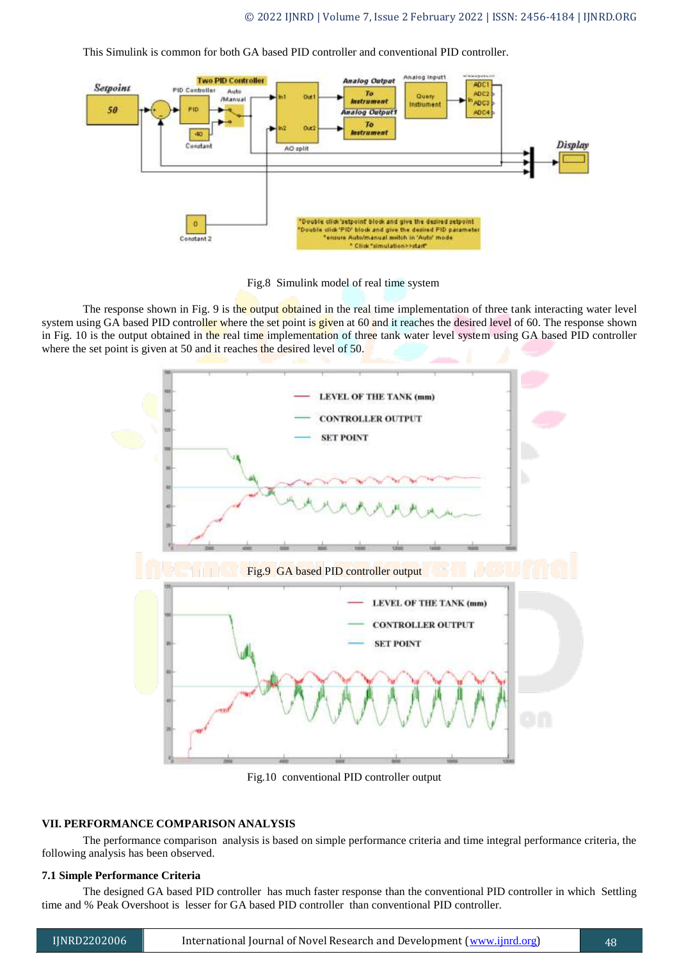This Simulink is common for both GA based PID controller and conventional PID controller.



Fig.8 Simulink model of real time system

The response shown in Fig. 9 is the output obtained in the real time implementation of three tank interacting water level system using GA based PID controller where the set point is given at 60 and it reaches the desired level of 60. The response shown in Fig. 10 is the output obtained in the real time implementation of three tank water level system using GA based PID controller where the set point is given at 50 and it reaches the desired level of 50.



Fig.10 conventional PID controller output

#### **VII. PERFORMANCE COMPARISON ANALYSIS**

The performance comparison analysis is based on simple performance criteria and time integral performance criteria, the following analysis has been observed.

#### **7.1 Simple Performance Criteria**

The designed GA based PID controller has much faster response than the conventional PID controller in which Settling time and % Peak Overshoot is lesser for GA based PID controller than conventional PID controller.